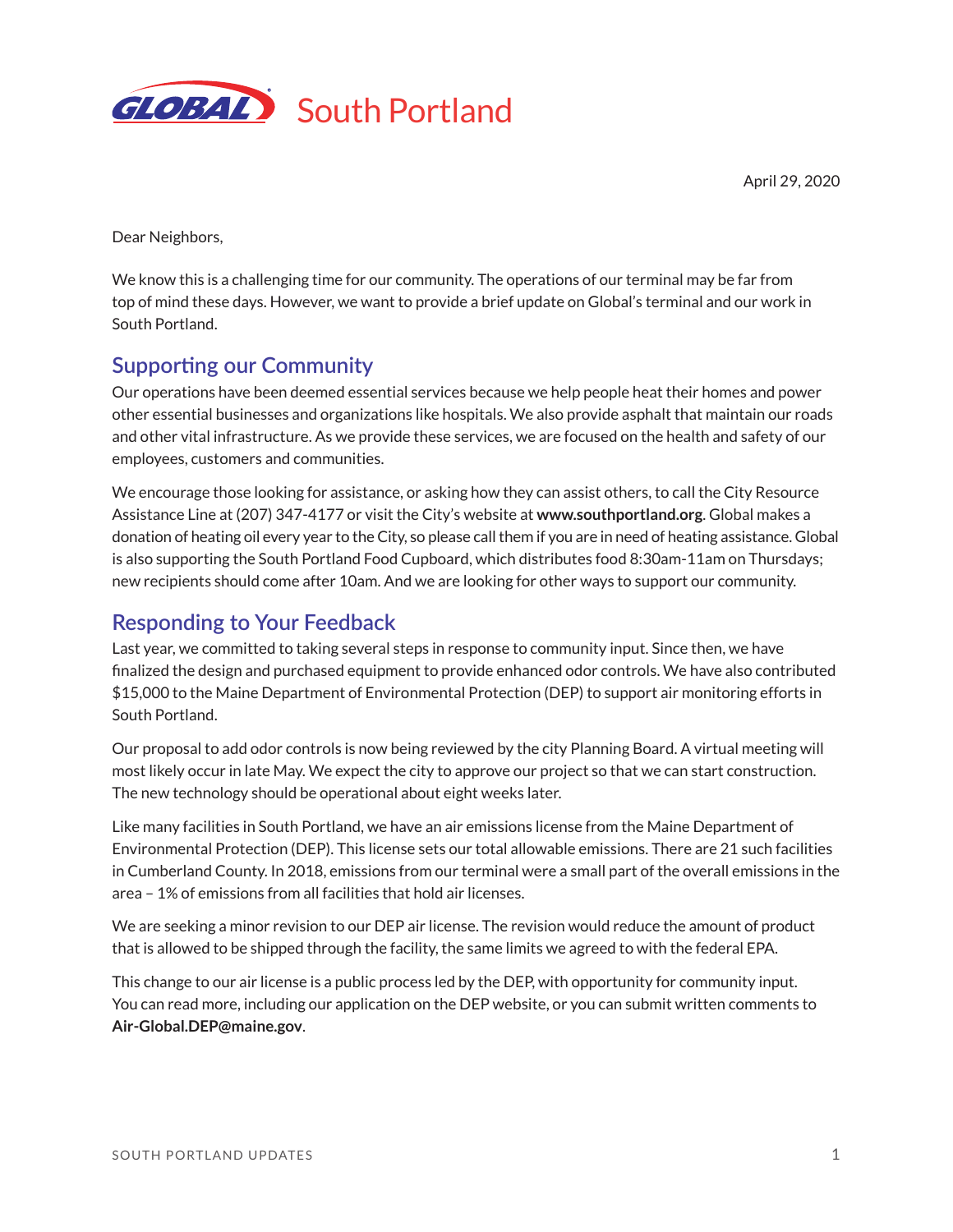

April 29, 2020

Dear Neighbors,

We know this is a challenging time for our community. The operations of our terminal may be far from top of mind these days. However, we want to provide a brief update on Global's terminal and our work in South Portland.

## **Supporting our Community**

Our operations have been deemed essential services because we help people heat their homes and power other essential businesses and organizations like hospitals. We also provide asphalt that maintain our roads and other vital infrastructure. As we provide these services, we are focused on the health and safety of our employees, customers and communities.

We encourage those looking for assistance, or asking how they can assist others, to call the City Resource Assistance Line at (207) 347-4177 or visit the City's website at **www.southportland.org**. Global makes a donation of heating oil every year to the City, so please call them if you are in need of heating assistance. Global is also supporting the South Portland Food Cupboard, which distributes food 8:30am-11am on Thursdays; new recipients should come after 10am. And we are looking for other ways to support our community.

## **Responding to Your Feedback**

Last year, we committed to taking several steps in response to community input. Since then, we have finalized the design and purchased equipment to provide enhanced odor controls. We have also contributed \$15,000 to the Maine Department of Environmental Protection (DEP) to support air monitoring efforts in South Portland.

Our proposal to add odor controls is now being reviewed by the city Planning Board. A virtual meeting will most likely occur in late May. We expect the city to approve our project so that we can start construction. The new technology should be operational about eight weeks later.

Like many facilities in South Portland, we have an air emissions license from the Maine Department of Environmental Protection (DEP). This license sets our total allowable emissions. There are 21 such facilities in Cumberland County. In 2018, emissions from our terminal were a small part of the overall emissions in the area – 1% of emissions from all facilities that hold air licenses.

We are seeking a minor revision to our DEP air license. The revision would reduce the amount of product that is allowed to be shipped through the facility, the same limits we agreed to with the federal EPA.

This change to our air license is a public process led by the DEP, with opportunity for community input. You can read more, including our application on the DEP website, or you can submit written comments to **Air-Global.DEP@maine.gov**.